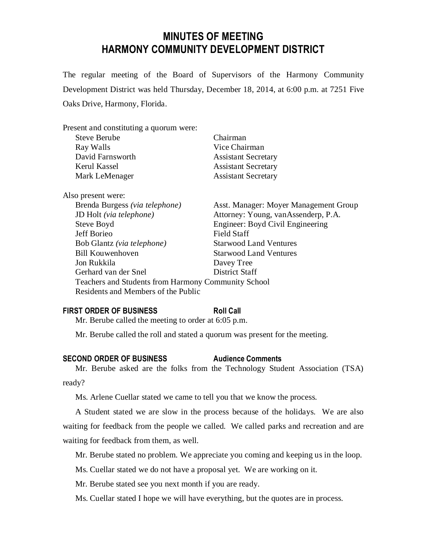# **MINUTES OF MEETING HARMONY COMMUNITY DEVELOPMENT DISTRICT**

The regular meeting of the Board of Supervisors of the Harmony Community Development District was held Thursday, December 18, 2014, at 6:00 p.m. at 7251 Five Oaks Drive, Harmony, Florida.

| Present and constituting a quorum were:             |                                       |
|-----------------------------------------------------|---------------------------------------|
| <b>Steve Berube</b>                                 | Chairman                              |
| Ray Walls                                           | Vice Chairman                         |
| David Farnsworth                                    | <b>Assistant Secretary</b>            |
| Kerul Kassel                                        | <b>Assistant Secretary</b>            |
| Mark LeMenager                                      | <b>Assistant Secretary</b>            |
| Also present were:                                  |                                       |
| Brenda Burgess (via telephone)                      | Asst. Manager: Moyer Management Group |
| JD Holt (via telephone)                             | Attorney: Young, vanAssenderp, P.A.   |
| Steve Boyd                                          | Engineer: Boyd Civil Engineering      |
| Jeff Borieo                                         | <b>Field Staff</b>                    |
| Bob Glantz (via telephone)                          | <b>Starwood Land Ventures</b>         |
| <b>Bill Kouwenhoven</b>                             | <b>Starwood Land Ventures</b>         |
| Jon Rukkila                                         | Davey Tree                            |
| Gerhard van der Snel                                | District Staff                        |
| Teachers and Students from Harmony Community School |                                       |
| Residents and Members of the Public                 |                                       |

## **FIRST ORDER OF BUSINESS Roll Call**

Mr. Berube called the meeting to order at 6:05 p.m.

Mr. Berube called the roll and stated a quorum was present for the meeting.

#### **SECOND ORDER OF BUSINESS Audience Comments**

Mr. Berube asked are the folks from the Technology Student Association (TSA) ready?

Ms. Arlene Cuellar stated we came to tell you that we know the process.

A Student stated we are slow in the process because of the holidays. We are also waiting for feedback from the people we called. We called parks and recreation and are waiting for feedback from them, as well.

Mr. Berube stated no problem. We appreciate you coming and keeping us in the loop.

Ms. Cuellar stated we do not have a proposal yet. We are working on it.

Mr. Berube stated see you next month if you are ready.

Ms. Cuellar stated I hope we will have everything, but the quotes are in process.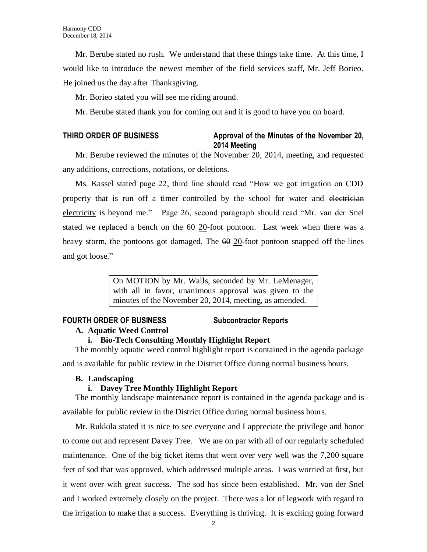Mr. Berube stated no rush. We understand that these things take time. At this time, I would like to introduce the newest member of the field services staff, Mr. Jeff Borieo. He joined us the day after Thanksgiving.

Mr. Borieo stated you will see me riding around.

Mr. Berube stated thank you for coming out and it is good to have you on board.

## **THIRD ORDER OF BUSINESS Approval of the Minutes of the November 20, 2014 Meeting**

Mr. Berube reviewed the minutes of the November 20, 2014, meeting, and requested any additions, corrections, notations, or deletions.

Ms. Kassel stated page 22, third line should read "How we got irrigation on CDD property that is run off a timer controlled by the school for water and electrician electricity is beyond me." Page 26, second paragraph should read "Mr. van der Snel stated we replaced a bench on the  $60\,20$ -foot pontoon. Last week when there was a heavy storm, the pontoons got damaged. The  $60$  20-foot pontoon snapped off the lines and got loose."

> On MOTION by Mr. Walls, seconded by Mr. LeMenager, with all in favor, unanimous approval was given to the minutes of the November 20, 2014, meeting, as amended.

## **FOURTH ORDER OF BUSINESS Subcontractor Reports**

### **A. Aquatic Weed Control**

## **i. Bio-Tech Consulting Monthly Highlight Report**

The monthly aquatic weed control highlight report is contained in the agenda package

and is available for public review in the District Office during normal business hours.

## **B. Landscaping**

## **i. Davey Tree Monthly Highlight Report**

The monthly landscape maintenance report is contained in the agenda package and is available for public review in the District Office during normal business hours.

Mr. Rukkila stated it is nice to see everyone and I appreciate the privilege and honor to come out and represent Davey Tree. We are on par with all of our regularly scheduled maintenance. One of the big ticket items that went over very well was the 7,200 square feet of sod that was approved, which addressed multiple areas. I was worried at first, but it went over with great success. The sod has since been established. Mr. van der Snel and I worked extremely closely on the project. There was a lot of legwork with regard to the irrigation to make that a success. Everything is thriving. It is exciting going forward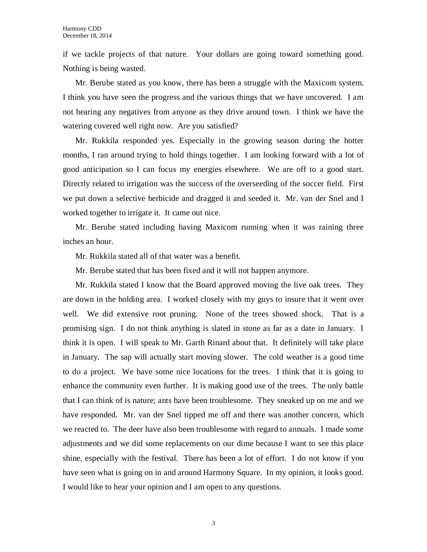if we tackle projects of that nature. Your dollars are going toward something good. Nothing is being wasted.

Mr. Berube stated as you know, there has been a struggle with the Maxicom system. I think you have seen the progress and the various things that we have uncovered. I am not hearing any negatives from anyone as they drive around town. I think we have the watering covered well right now. Are you satisfied?

Mr. Rukkila responded yes. Especially in the growing season during the hotter months, I ran around trying to hold things together. I am looking forward with a lot of good anticipation so I can focus my energies elsewhere. We are off to a good start. Directly related to irrigation was the success of the overseeding of the soccer field. First we put down a selective herbicide and dragged it and seeded it. Mr. van der Snel and I worked together to irrigate it. It came out nice.

Mr. Berube stated including having Maxicom running when it was raining three inches an hour.

Mr. Rukkila stated all of that water was a benefit.

Mr. Berube stated that has been fixed and it will not happen anymore.

Mr. Rukkila stated I know that the Board approved moving the live oak trees. They are down in the holding area. I worked closely with my guys to insure that it went over well. We did extensive root pruning. None of the trees showed shock. That is a promising sign. I do not think anything is slated in stone as far as a date in January. I think it is open. I will speak to Mr. Garth Rinard about that. It definitely will take place in January. The sap will actually start moving slower. The cold weather is a good time to do a project. We have some nice locations for the trees. I think that it is going to enhance the community even further. It is making good use of the trees. The only battle that I can think of is nature; ants have been troublesome. They sneaked up on me and we have responded. Mr. van der Snel tipped me off and there was another concern, which we reacted to. The deer have also been troublesome with regard to annuals. I made some adjustments and we did some replacements on our dime because I want to see this place shine, especially with the festival. There has been a lot of effort. I do not know if you have seen what is going on in and around Harmony Square. In my opinion, it looks good. I would like to hear your opinion and I am open to any questions.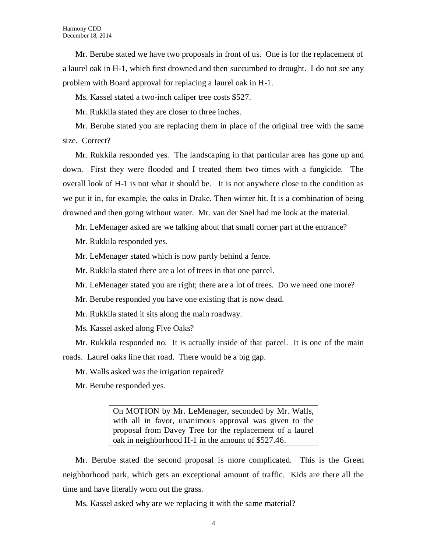Mr. Berube stated we have two proposals in front of us. One is for the replacement of a laurel oak in H-1, which first drowned and then succumbed to drought. I do not see any problem with Board approval for replacing a laurel oak in H-1.

Ms. Kassel stated a two-inch caliper tree costs \$527.

Mr. Rukkila stated they are closer to three inches.

Mr. Berube stated you are replacing them in place of the original tree with the same size. Correct?

Mr. Rukkila responded yes. The landscaping in that particular area has gone up and down. First they were flooded and I treated them two times with a fungicide. The overall look of H-1 is not what it should be. It is not anywhere close to the condition as we put it in, for example, the oaks in Drake. Then winter hit. It is a combination of being drowned and then going without water. Mr. van der Snel had me look at the material.

Mr. LeMenager asked are we talking about that small corner part at the entrance?

Mr. Rukkila responded yes.

Mr. LeMenager stated which is now partly behind a fence.

Mr. Rukkila stated there are a lot of trees in that one parcel.

Mr. LeMenager stated you are right; there are a lot of trees. Do we need one more?

Mr. Berube responded you have one existing that is now dead.

Mr. Rukkila stated it sits along the main roadway.

Ms. Kassel asked along Five Oaks?

Mr. Rukkila responded no. It is actually inside of that parcel. It is one of the main roads. Laurel oaks line that road. There would be a big gap.

Mr. Walls asked was the irrigation repaired?

Mr. Berube responded yes.

On MOTION by Mr. LeMenager, seconded by Mr. Walls, with all in favor, unanimous approval was given to the proposal from Davey Tree for the replacement of a laurel oak in neighborhood H-1 in the amount of \$527.46.

Mr. Berube stated the second proposal is more complicated. This is the Green neighborhood park, which gets an exceptional amount of traffic. Kids are there all the time and have literally worn out the grass.

Ms. Kassel asked why are we replacing it with the same material?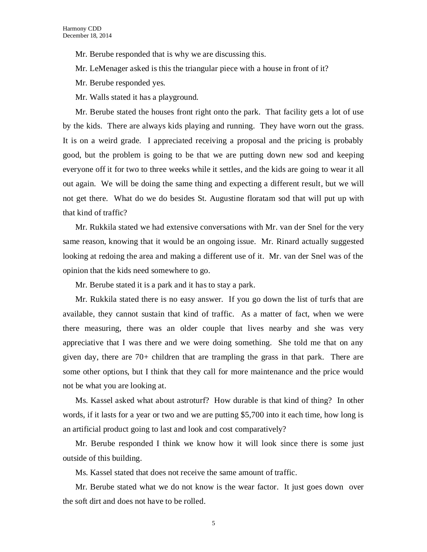Mr. Berube responded that is why we are discussing this.

Mr. LeMenager asked is this the triangular piece with a house in front of it?

Mr. Berube responded yes.

Mr. Walls stated it has a playground.

Mr. Berube stated the houses front right onto the park. That facility gets a lot of use by the kids. There are always kids playing and running. They have worn out the grass. It is on a weird grade. I appreciated receiving a proposal and the pricing is probably good, but the problem is going to be that we are putting down new sod and keeping everyone off it for two to three weeks while it settles, and the kids are going to wear it all out again. We will be doing the same thing and expecting a different result, but we will not get there. What do we do besides St. Augustine floratam sod that will put up with that kind of traffic?

Mr. Rukkila stated we had extensive conversations with Mr. van der Snel for the very same reason, knowing that it would be an ongoing issue. Mr. Rinard actually suggested looking at redoing the area and making a different use of it. Mr. van der Snel was of the opinion that the kids need somewhere to go.

Mr. Berube stated it is a park and it has to stay a park.

Mr. Rukkila stated there is no easy answer. If you go down the list of turfs that are available, they cannot sustain that kind of traffic. As a matter of fact, when we were there measuring, there was an older couple that lives nearby and she was very appreciative that I was there and we were doing something. She told me that on any given day, there are 70+ children that are trampling the grass in that park. There are some other options, but I think that they call for more maintenance and the price would not be what you are looking at.

Ms. Kassel asked what about astroturf? How durable is that kind of thing? In other words, if it lasts for a year or two and we are putting \$5,700 into it each time, how long is an artificial product going to last and look and cost comparatively?

Mr. Berube responded I think we know how it will look since there is some just outside of this building.

Ms. Kassel stated that does not receive the same amount of traffic.

Mr. Berube stated what we do not know is the wear factor. It just goes down over the soft dirt and does not have to be rolled.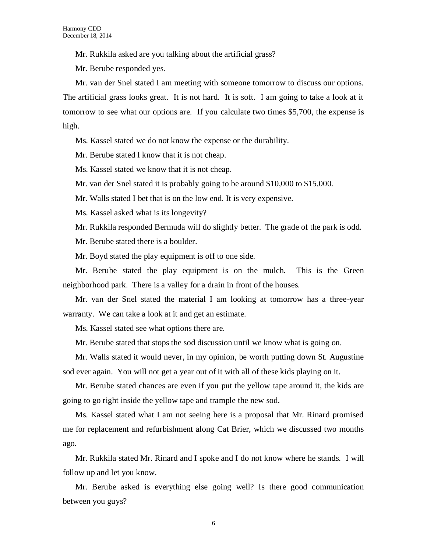Mr. Rukkila asked are you talking about the artificial grass?

Mr. Berube responded yes.

Mr. van der Snel stated I am meeting with someone tomorrow to discuss our options. The artificial grass looks great. It is not hard. It is soft. I am going to take a look at it tomorrow to see what our options are. If you calculate two times \$5,700, the expense is high.

Ms. Kassel stated we do not know the expense or the durability.

Mr. Berube stated I know that it is not cheap.

Ms. Kassel stated we know that it is not cheap.

Mr. van der Snel stated it is probably going to be around \$10,000 to \$15,000.

Mr. Walls stated I bet that is on the low end. It is very expensive.

Ms. Kassel asked what is its longevity?

Mr. Rukkila responded Bermuda will do slightly better. The grade of the park is odd.

Mr. Berube stated there is a boulder.

Mr. Boyd stated the play equipment is off to one side.

Mr. Berube stated the play equipment is on the mulch. This is the Green neighborhood park. There is a valley for a drain in front of the houses.

Mr. van der Snel stated the material I am looking at tomorrow has a three-year warranty. We can take a look at it and get an estimate.

Ms. Kassel stated see what options there are.

Mr. Berube stated that stops the sod discussion until we know what is going on.

Mr. Walls stated it would never, in my opinion, be worth putting down St. Augustine sod ever again. You will not get a year out of it with all of these kids playing on it.

Mr. Berube stated chances are even if you put the yellow tape around it, the kids are going to go right inside the yellow tape and trample the new sod.

Ms. Kassel stated what I am not seeing here is a proposal that Mr. Rinard promised me for replacement and refurbishment along Cat Brier, which we discussed two months ago.

Mr. Rukkila stated Mr. Rinard and I spoke and I do not know where he stands. I will follow up and let you know.

Mr. Berube asked is everything else going well? Is there good communication between you guys?

6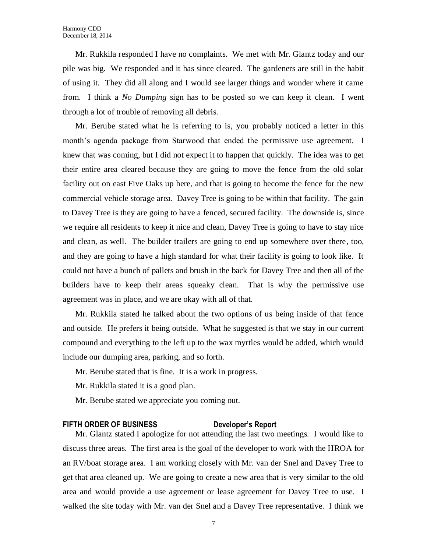Mr. Rukkila responded I have no complaints. We met with Mr. Glantz today and our pile was big. We responded and it has since cleared. The gardeners are still in the habit of using it. They did all along and I would see larger things and wonder where it came from. I think a *No Dumping* sign has to be posted so we can keep it clean. I went through a lot of trouble of removing all debris.

Mr. Berube stated what he is referring to is, you probably noticed a letter in this month's agenda package from Starwood that ended the permissive use agreement. I knew that was coming, but I did not expect it to happen that quickly. The idea was to get their entire area cleared because they are going to move the fence from the old solar facility out on east Five Oaks up here, and that is going to become the fence for the new commercial vehicle storage area. Davey Tree is going to be within that facility. The gain to Davey Tree is they are going to have a fenced, secured facility. The downside is, since we require all residents to keep it nice and clean, Davey Tree is going to have to stay nice and clean, as well. The builder trailers are going to end up somewhere over there, too, and they are going to have a high standard for what their facility is going to look like. It could not have a bunch of pallets and brush in the back for Davey Tree and then all of the builders have to keep their areas squeaky clean. That is why the permissive use agreement was in place, and we are okay with all of that.

Mr. Rukkila stated he talked about the two options of us being inside of that fence and outside. He prefers it being outside. What he suggested is that we stay in our current compound and everything to the left up to the wax myrtles would be added, which would include our dumping area, parking, and so forth.

- Mr. Berube stated that is fine. It is a work in progress.
- Mr. Rukkila stated it is a good plan.
- Mr. Berube stated we appreciate you coming out.

### **FIFTH ORDER OF BUSINESS Developer's Report**

Mr. Glantz stated I apologize for not attending the last two meetings. I would like to discuss three areas. The first area is the goal of the developer to work with the HROA for an RV/boat storage area. I am working closely with Mr. van der Snel and Davey Tree to get that area cleaned up. We are going to create a new area that is very similar to the old area and would provide a use agreement or lease agreement for Davey Tree to use. I walked the site today with Mr. van der Snel and a Davey Tree representative. I think we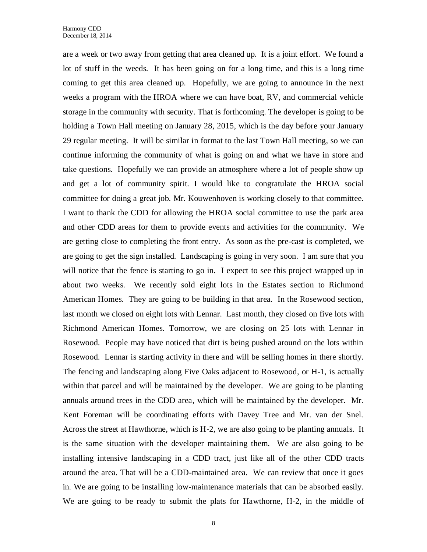are a week or two away from getting that area cleaned up. It is a joint effort. We found a lot of stuff in the weeds. It has been going on for a long time, and this is a long time coming to get this area cleaned up. Hopefully, we are going to announce in the next weeks a program with the HROA where we can have boat, RV, and commercial vehicle storage in the community with security. That is forthcoming. The developer is going to be holding a Town Hall meeting on January 28, 2015, which is the day before your January 29 regular meeting. It will be similar in format to the last Town Hall meeting, so we can continue informing the community of what is going on and what we have in store and take questions. Hopefully we can provide an atmosphere where a lot of people show up and get a lot of community spirit. I would like to congratulate the HROA social committee for doing a great job. Mr. Kouwenhoven is working closely to that committee. I want to thank the CDD for allowing the HROA social committee to use the park area and other CDD areas for them to provide events and activities for the community. We are getting close to completing the front entry. As soon as the pre-cast is completed, we are going to get the sign installed. Landscaping is going in very soon. I am sure that you will notice that the fence is starting to go in. I expect to see this project wrapped up in about two weeks. We recently sold eight lots in the Estates section to Richmond American Homes. They are going to be building in that area. In the Rosewood section, last month we closed on eight lots with Lennar. Last month, they closed on five lots with Richmond American Homes. Tomorrow, we are closing on 25 lots with Lennar in Rosewood. People may have noticed that dirt is being pushed around on the lots within Rosewood. Lennar is starting activity in there and will be selling homes in there shortly. The fencing and landscaping along Five Oaks adjacent to Rosewood, or H-1, is actually within that parcel and will be maintained by the developer. We are going to be planting annuals around trees in the CDD area, which will be maintained by the developer. Mr. Kent Foreman will be coordinating efforts with Davey Tree and Mr. van der Snel. Across the street at Hawthorne, which is H-2, we are also going to be planting annuals. It is the same situation with the developer maintaining them. We are also going to be installing intensive landscaping in a CDD tract, just like all of the other CDD tracts around the area. That will be a CDD-maintained area. We can review that once it goes in. We are going to be installing low-maintenance materials that can be absorbed easily. We are going to be ready to submit the plats for Hawthorne, H-2, in the middle of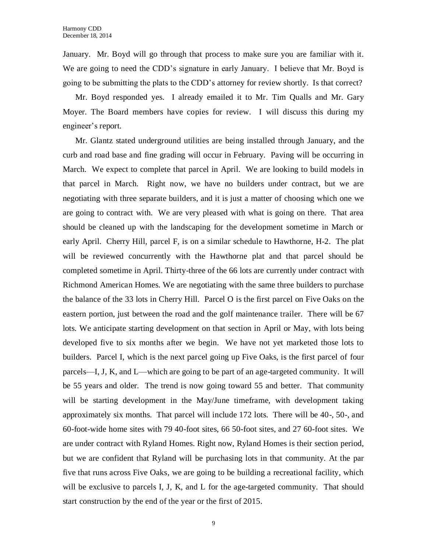January. Mr. Boyd will go through that process to make sure you are familiar with it. We are going to need the CDD's signature in early January. I believe that Mr. Boyd is going to be submitting the plats to the CDD's attorney for review shortly. Is that correct?

Mr. Boyd responded yes. I already emailed it to Mr. Tim Qualls and Mr. Gary Moyer. The Board members have copies for review. I will discuss this during my engineer's report.

Mr. Glantz stated underground utilities are being installed through January, and the curb and road base and fine grading will occur in February. Paving will be occurring in March. We expect to complete that parcel in April. We are looking to build models in that parcel in March. Right now, we have no builders under contract, but we are negotiating with three separate builders, and it is just a matter of choosing which one we are going to contract with. We are very pleased with what is going on there. That area should be cleaned up with the landscaping for the development sometime in March or early April. Cherry Hill, parcel F, is on a similar schedule to Hawthorne, H-2. The plat will be reviewed concurrently with the Hawthorne plat and that parcel should be completed sometime in April. Thirty-three of the 66 lots are currently under contract with Richmond American Homes. We are negotiating with the same three builders to purchase the balance of the 33 lots in Cherry Hill. Parcel O is the first parcel on Five Oaks on the eastern portion, just between the road and the golf maintenance trailer. There will be 67 lots. We anticipate starting development on that section in April or May, with lots being developed five to six months after we begin. We have not yet marketed those lots to builders. Parcel I, which is the next parcel going up Five Oaks, is the first parcel of four parcels—I, J, K, and L—which are going to be part of an age-targeted community. It will be 55 years and older. The trend is now going toward 55 and better. That community will be starting development in the May/June timeframe, with development taking approximately six months. That parcel will include 172 lots. There will be 40-, 50-, and 60-foot-wide home sites with 79 40-foot sites, 66 50-foot sites, and 27 60-foot sites. We are under contract with Ryland Homes. Right now, Ryland Homes is their section period, but we are confident that Ryland will be purchasing lots in that community. At the par five that runs across Five Oaks, we are going to be building a recreational facility, which will be exclusive to parcels I, J, K, and L for the age-targeted community. That should start construction by the end of the year or the first of 2015.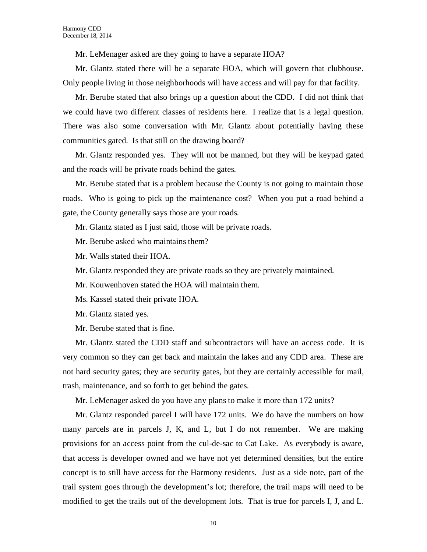Mr. LeMenager asked are they going to have a separate HOA?

Mr. Glantz stated there will be a separate HOA, which will govern that clubhouse. Only people living in those neighborhoods will have access and will pay for that facility.

Mr. Berube stated that also brings up a question about the CDD. I did not think that we could have two different classes of residents here. I realize that is a legal question. There was also some conversation with Mr. Glantz about potentially having these communities gated. Is that still on the drawing board?

Mr. Glantz responded yes. They will not be manned, but they will be keypad gated and the roads will be private roads behind the gates.

Mr. Berube stated that is a problem because the County is not going to maintain those roads. Who is going to pick up the maintenance cost? When you put a road behind a gate, the County generally says those are your roads.

Mr. Glantz stated as I just said, those will be private roads.

Mr. Berube asked who maintains them?

Mr. Walls stated their HOA.

Mr. Glantz responded they are private roads so they are privately maintained.

Mr. Kouwenhoven stated the HOA will maintain them.

Ms. Kassel stated their private HOA.

Mr. Glantz stated yes.

Mr. Berube stated that is fine.

Mr. Glantz stated the CDD staff and subcontractors will have an access code. It is very common so they can get back and maintain the lakes and any CDD area. These are not hard security gates; they are security gates, but they are certainly accessible for mail, trash, maintenance, and so forth to get behind the gates.

Mr. LeMenager asked do you have any plans to make it more than 172 units?

Mr. Glantz responded parcel I will have 172 units. We do have the numbers on how many parcels are in parcels J, K, and L, but I do not remember. We are making provisions for an access point from the cul-de-sac to Cat Lake. As everybody is aware, that access is developer owned and we have not yet determined densities, but the entire concept is to still have access for the Harmony residents. Just as a side note, part of the trail system goes through the development's lot; therefore, the trail maps will need to be modified to get the trails out of the development lots. That is true for parcels I, J, and L.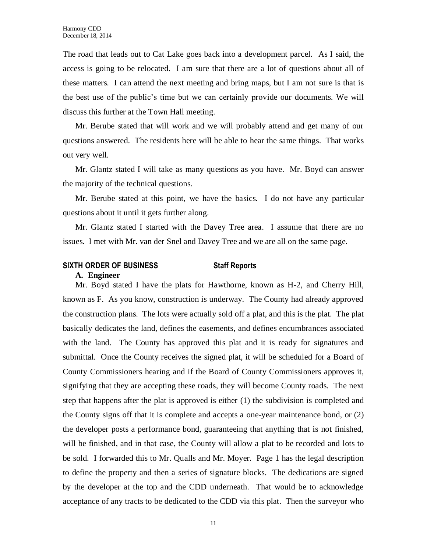The road that leads out to Cat Lake goes back into a development parcel. As I said, the access is going to be relocated. I am sure that there are a lot of questions about all of these matters. I can attend the next meeting and bring maps, but I am not sure is that is the best use of the public's time but we can certainly provide our documents. We will discuss this further at the Town Hall meeting.

Mr. Berube stated that will work and we will probably attend and get many of our questions answered. The residents here will be able to hear the same things. That works out very well.

Mr. Glantz stated I will take as many questions as you have. Mr. Boyd can answer the majority of the technical questions.

Mr. Berube stated at this point, we have the basics. I do not have any particular questions about it until it gets further along.

Mr. Glantz stated I started with the Davey Tree area. I assume that there are no issues. I met with Mr. van der Snel and Davey Tree and we are all on the same page.

## **SIXTH ORDER OF BUSINESS Staff Reports**

#### **A. Engineer**

Mr. Boyd stated I have the plats for Hawthorne, known as H-2, and Cherry Hill, known as F. As you know, construction is underway. The County had already approved the construction plans. The lots were actually sold off a plat, and this is the plat. The plat basically dedicates the land, defines the easements, and defines encumbrances associated with the land. The County has approved this plat and it is ready for signatures and submittal. Once the County receives the signed plat, it will be scheduled for a Board of County Commissioners hearing and if the Board of County Commissioners approves it, signifying that they are accepting these roads, they will become County roads. The next step that happens after the plat is approved is either (1) the subdivision is completed and the County signs off that it is complete and accepts a one-year maintenance bond, or (2) the developer posts a performance bond, guaranteeing that anything that is not finished, will be finished, and in that case, the County will allow a plat to be recorded and lots to be sold. I forwarded this to Mr. Qualls and Mr. Moyer. Page 1 has the legal description to define the property and then a series of signature blocks. The dedications are signed by the developer at the top and the CDD underneath. That would be to acknowledge acceptance of any tracts to be dedicated to the CDD via this plat. Then the surveyor who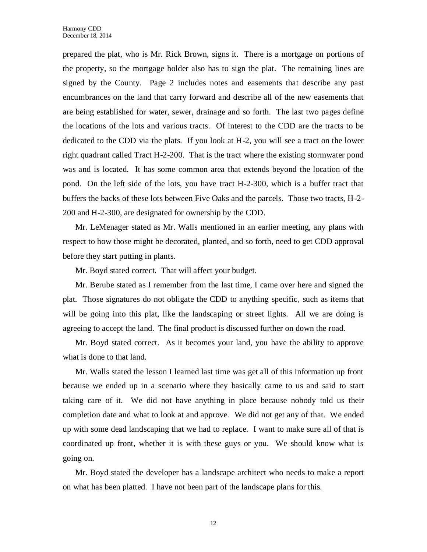prepared the plat, who is Mr. Rick Brown, signs it. There is a mortgage on portions of the property, so the mortgage holder also has to sign the plat. The remaining lines are signed by the County. Page 2 includes notes and easements that describe any past encumbrances on the land that carry forward and describe all of the new easements that are being established for water, sewer, drainage and so forth. The last two pages define the locations of the lots and various tracts. Of interest to the CDD are the tracts to be dedicated to the CDD via the plats. If you look at H-2, you will see a tract on the lower right quadrant called Tract H-2-200. That is the tract where the existing stormwater pond was and is located. It has some common area that extends beyond the location of the pond. On the left side of the lots, you have tract H-2-300, which is a buffer tract that buffers the backs of these lots between Five Oaks and the parcels. Those two tracts, H-2- 200 and H-2-300, are designated for ownership by the CDD.

Mr. LeMenager stated as Mr. Walls mentioned in an earlier meeting, any plans with respect to how those might be decorated, planted, and so forth, need to get CDD approval before they start putting in plants.

Mr. Boyd stated correct. That will affect your budget.

Mr. Berube stated as I remember from the last time, I came over here and signed the plat. Those signatures do not obligate the CDD to anything specific, such as items that will be going into this plat, like the landscaping or street lights. All we are doing is agreeing to accept the land. The final product is discussed further on down the road.

Mr. Boyd stated correct. As it becomes your land, you have the ability to approve what is done to that land.

Mr. Walls stated the lesson I learned last time was get all of this information up front because we ended up in a scenario where they basically came to us and said to start taking care of it. We did not have anything in place because nobody told us their completion date and what to look at and approve. We did not get any of that. We ended up with some dead landscaping that we had to replace. I want to make sure all of that is coordinated up front, whether it is with these guys or you. We should know what is going on.

Mr. Boyd stated the developer has a landscape architect who needs to make a report on what has been platted. I have not been part of the landscape plans for this.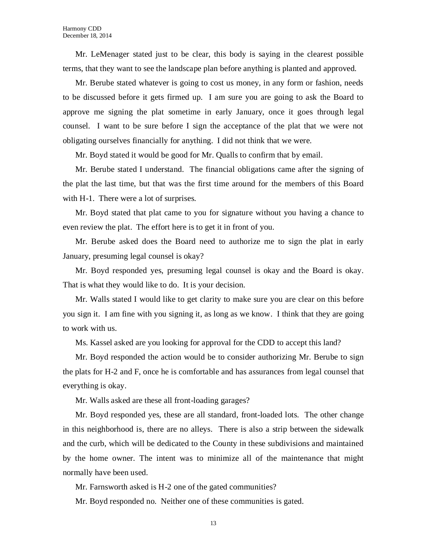Mr. LeMenager stated just to be clear, this body is saying in the clearest possible terms, that they want to see the landscape plan before anything is planted and approved.

Mr. Berube stated whatever is going to cost us money, in any form or fashion, needs to be discussed before it gets firmed up. I am sure you are going to ask the Board to approve me signing the plat sometime in early January, once it goes through legal counsel. I want to be sure before I sign the acceptance of the plat that we were not obligating ourselves financially for anything. I did not think that we were.

Mr. Boyd stated it would be good for Mr. Qualls to confirm that by email.

Mr. Berube stated I understand. The financial obligations came after the signing of the plat the last time, but that was the first time around for the members of this Board with H-1. There were a lot of surprises.

Mr. Boyd stated that plat came to you for signature without you having a chance to even review the plat. The effort here is to get it in front of you.

Mr. Berube asked does the Board need to authorize me to sign the plat in early January, presuming legal counsel is okay?

Mr. Boyd responded yes, presuming legal counsel is okay and the Board is okay. That is what they would like to do. It is your decision.

Mr. Walls stated I would like to get clarity to make sure you are clear on this before you sign it. I am fine with you signing it, as long as we know. I think that they are going to work with us.

Ms. Kassel asked are you looking for approval for the CDD to accept this land?

Mr. Boyd responded the action would be to consider authorizing Mr. Berube to sign the plats for H-2 and F, once he is comfortable and has assurances from legal counsel that everything is okay.

Mr. Walls asked are these all front-loading garages?

Mr. Boyd responded yes, these are all standard, front-loaded lots. The other change in this neighborhood is, there are no alleys. There is also a strip between the sidewalk and the curb, which will be dedicated to the County in these subdivisions and maintained by the home owner. The intent was to minimize all of the maintenance that might normally have been used.

Mr. Farnsworth asked is H-2 one of the gated communities?

Mr. Boyd responded no. Neither one of these communities is gated.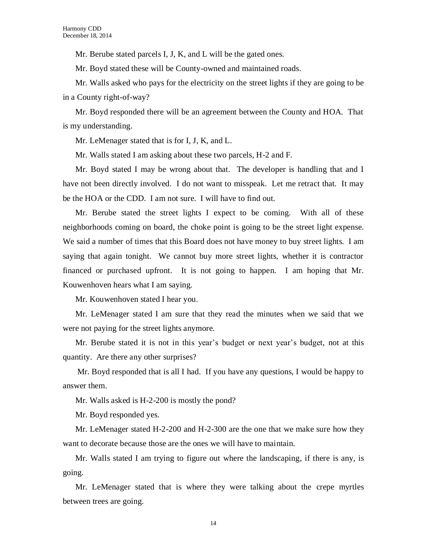Mr. Berube stated parcels I, J, K, and L will be the gated ones.

Mr. Boyd stated these will be County-owned and maintained roads.

Mr. Walls asked who pays for the electricity on the street lights if they are going to be in a County right-of-way?

Mr. Boyd responded there will be an agreement between the County and HOA. That is my understanding.

Mr. LeMenager stated that is for I, J, K, and L.

Mr. Walls stated I am asking about these two parcels, H-2 and F.

Mr. Boyd stated I may be wrong about that. The developer is handling that and I have not been directly involved. I do not want to misspeak. Let me retract that. It may be the HOA or the CDD. I am not sure. I will have to find out.

Mr. Berube stated the street lights I expect to be coming. With all of these neighborhoods coming on board, the choke point is going to be the street light expense. We said a number of times that this Board does not have money to buy street lights. I am saying that again tonight. We cannot buy more street lights, whether it is contractor financed or purchased upfront. It is not going to happen. I am hoping that Mr. Kouwenhoven hears what I am saying.

Mr. Kouwenhoven stated I hear you.

Mr. LeMenager stated I am sure that they read the minutes when we said that we were not paying for the street lights anymore.

Mr. Berube stated it is not in this year's budget or next year's budget, not at this quantity. Are there any other surprises?

Mr. Boyd responded that is all I had. If you have any questions, I would be happy to answer them.

Mr. Walls asked is H-2-200 is mostly the pond?

Mr. Boyd responded yes.

Mr. LeMenager stated H-2-200 and H-2-300 are the one that we make sure how they want to decorate because those are the ones we will have to maintain.

Mr. Walls stated I am trying to figure out where the landscaping, if there is any, is going.

Mr. LeMenager stated that is where they were talking about the crepe myrtles between trees are going.

14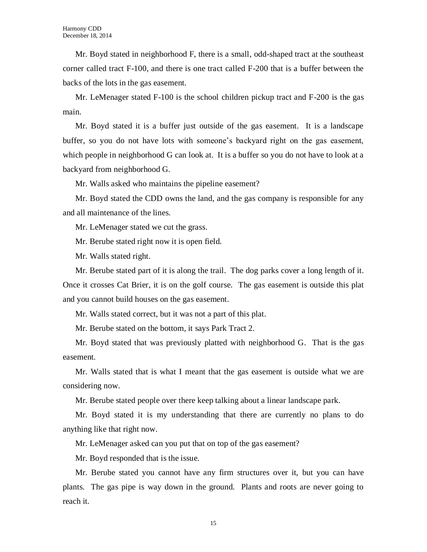Mr. Boyd stated in neighborhood F, there is a small, odd-shaped tract at the southeast corner called tract F-100, and there is one tract called F-200 that is a buffer between the backs of the lots in the gas easement.

Mr. LeMenager stated F-100 is the school children pickup tract and F-200 is the gas main.

Mr. Boyd stated it is a buffer just outside of the gas easement. It is a landscape buffer, so you do not have lots with someone's backyard right on the gas easement, which people in neighborhood G can look at. It is a buffer so you do not have to look at a backyard from neighborhood G.

Mr. Walls asked who maintains the pipeline easement?

Mr. Boyd stated the CDD owns the land, and the gas company is responsible for any and all maintenance of the lines.

Mr. LeMenager stated we cut the grass.

Mr. Berube stated right now it is open field.

Mr. Walls stated right.

Mr. Berube stated part of it is along the trail. The dog parks cover a long length of it. Once it crosses Cat Brier, it is on the golf course. The gas easement is outside this plat and you cannot build houses on the gas easement.

Mr. Walls stated correct, but it was not a part of this plat.

Mr. Berube stated on the bottom, it says Park Tract 2.

Mr. Boyd stated that was previously platted with neighborhood G. That is the gas easement.

Mr. Walls stated that is what I meant that the gas easement is outside what we are considering now.

Mr. Berube stated people over there keep talking about a linear landscape park.

Mr. Boyd stated it is my understanding that there are currently no plans to do anything like that right now.

Mr. LeMenager asked can you put that on top of the gas easement?

Mr. Boyd responded that is the issue.

Mr. Berube stated you cannot have any firm structures over it, but you can have plants. The gas pipe is way down in the ground. Plants and roots are never going to reach it.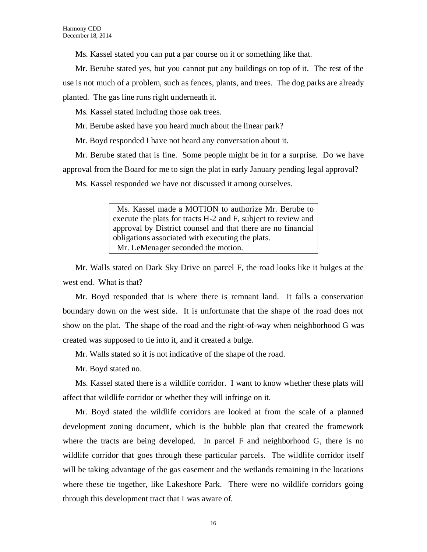Ms. Kassel stated you can put a par course on it or something like that.

Mr. Berube stated yes, but you cannot put any buildings on top of it. The rest of the use is not much of a problem, such as fences, plants, and trees. The dog parks are already planted. The gas line runs right underneath it.

Ms. Kassel stated including those oak trees.

Mr. Berube asked have you heard much about the linear park?

Mr. Boyd responded I have not heard any conversation about it.

Mr. Berube stated that is fine. Some people might be in for a surprise. Do we have approval from the Board for me to sign the plat in early January pending legal approval?

Ms. Kassel responded we have not discussed it among ourselves.

 Ms. Kassel made a MOTION to authorize Mr. Berube to execute the plats for tracts H-2 and F, subject to review and approval by District counsel and that there are no financial obligations associated with executing the plats. Mr. LeMenager seconded the motion.

Mr. Walls stated on Dark Sky Drive on parcel F, the road looks like it bulges at the west end. What is that?

Mr. Boyd responded that is where there is remnant land. It falls a conservation boundary down on the west side. It is unfortunate that the shape of the road does not show on the plat. The shape of the road and the right-of-way when neighborhood G was created was supposed to tie into it, and it created a bulge.

Mr. Walls stated so it is not indicative of the shape of the road.

Mr. Boyd stated no.

Ms. Kassel stated there is a wildlife corridor. I want to know whether these plats will affect that wildlife corridor or whether they will infringe on it.

Mr. Boyd stated the wildlife corridors are looked at from the scale of a planned development zoning document, which is the bubble plan that created the framework where the tracts are being developed. In parcel F and neighborhood G, there is no wildlife corridor that goes through these particular parcels. The wildlife corridor itself will be taking advantage of the gas easement and the wetlands remaining in the locations where these tie together, like Lakeshore Park. There were no wildlife corridors going through this development tract that I was aware of.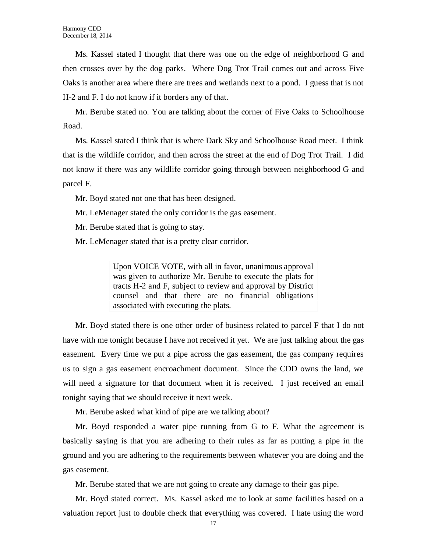Ms. Kassel stated I thought that there was one on the edge of neighborhood G and then crosses over by the dog parks. Where Dog Trot Trail comes out and across Five Oaks is another area where there are trees and wetlands next to a pond. I guess that is not H-2 and F. I do not know if it borders any of that.

Mr. Berube stated no. You are talking about the corner of Five Oaks to Schoolhouse Road.

Ms. Kassel stated I think that is where Dark Sky and Schoolhouse Road meet. I think that is the wildlife corridor, and then across the street at the end of Dog Trot Trail. I did not know if there was any wildlife corridor going through between neighborhood G and parcel F.

Mr. Boyd stated not one that has been designed.

Mr. LeMenager stated the only corridor is the gas easement.

Mr. Berube stated that is going to stay.

Mr. LeMenager stated that is a pretty clear corridor.

Upon VOICE VOTE, with all in favor, unanimous approval was given to authorize Mr. Berube to execute the plats for tracts H-2 and F, subject to review and approval by District counsel and that there are no financial obligations associated with executing the plats.

Mr. Boyd stated there is one other order of business related to parcel F that I do not have with me tonight because I have not received it yet. We are just talking about the gas easement. Every time we put a pipe across the gas easement, the gas company requires us to sign a gas easement encroachment document. Since the CDD owns the land, we will need a signature for that document when it is received. I just received an email tonight saying that we should receive it next week.

Mr. Berube asked what kind of pipe are we talking about?

Mr. Boyd responded a water pipe running from G to F. What the agreement is basically saying is that you are adhering to their rules as far as putting a pipe in the ground and you are adhering to the requirements between whatever you are doing and the gas easement.

Mr. Berube stated that we are not going to create any damage to their gas pipe.

Mr. Boyd stated correct. Ms. Kassel asked me to look at some facilities based on a valuation report just to double check that everything was covered. I hate using the word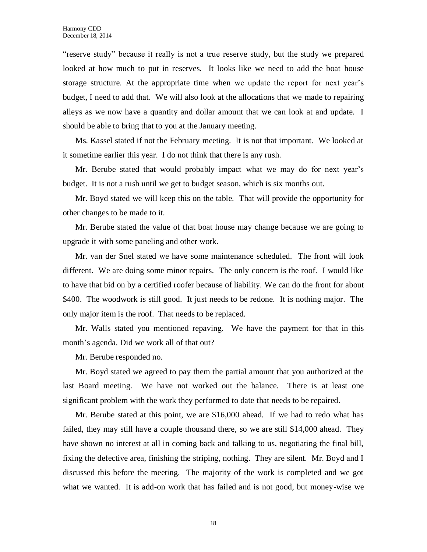"reserve study" because it really is not a true reserve study, but the study we prepared looked at how much to put in reserves. It looks like we need to add the boat house storage structure. At the appropriate time when we update the report for next year's budget, I need to add that. We will also look at the allocations that we made to repairing alleys as we now have a quantity and dollar amount that we can look at and update. I should be able to bring that to you at the January meeting.

Ms. Kassel stated if not the February meeting. It is not that important. We looked at it sometime earlier this year. I do not think that there is any rush.

Mr. Berube stated that would probably impact what we may do for next year's budget. It is not a rush until we get to budget season, which is six months out.

Mr. Boyd stated we will keep this on the table. That will provide the opportunity for other changes to be made to it.

Mr. Berube stated the value of that boat house may change because we are going to upgrade it with some paneling and other work.

Mr. van der Snel stated we have some maintenance scheduled. The front will look different. We are doing some minor repairs. The only concern is the roof. I would like to have that bid on by a certified roofer because of liability. We can do the front for about \$400. The woodwork is still good. It just needs to be redone. It is nothing major. The only major item is the roof. That needs to be replaced.

Mr. Walls stated you mentioned repaving. We have the payment for that in this month's agenda. Did we work all of that out?

Mr. Berube responded no.

Mr. Boyd stated we agreed to pay them the partial amount that you authorized at the last Board meeting. We have not worked out the balance. There is at least one significant problem with the work they performed to date that needs to be repaired.

Mr. Berube stated at this point, we are \$16,000 ahead. If we had to redo what has failed, they may still have a couple thousand there, so we are still \$14,000 ahead. They have shown no interest at all in coming back and talking to us, negotiating the final bill, fixing the defective area, finishing the striping, nothing. They are silent. Mr. Boyd and I discussed this before the meeting. The majority of the work is completed and we got what we wanted. It is add-on work that has failed and is not good, but money-wise we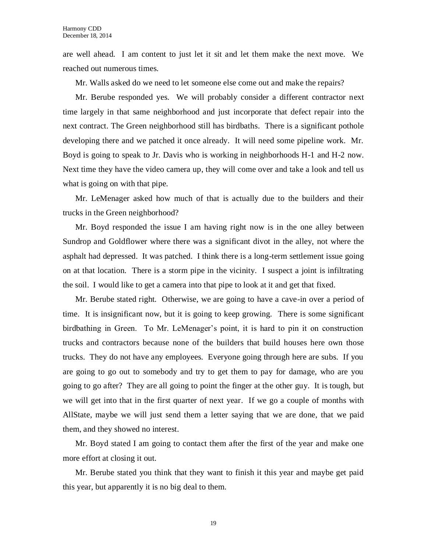are well ahead. I am content to just let it sit and let them make the next move. We reached out numerous times.

Mr. Walls asked do we need to let someone else come out and make the repairs?

Mr. Berube responded yes. We will probably consider a different contractor next time largely in that same neighborhood and just incorporate that defect repair into the next contract. The Green neighborhood still has birdbaths. There is a significant pothole developing there and we patched it once already. It will need some pipeline work. Mr. Boyd is going to speak to Jr. Davis who is working in neighborhoods H-1 and H-2 now. Next time they have the video camera up, they will come over and take a look and tell us what is going on with that pipe.

Mr. LeMenager asked how much of that is actually due to the builders and their trucks in the Green neighborhood?

Mr. Boyd responded the issue I am having right now is in the one alley between Sundrop and Goldflower where there was a significant divot in the alley, not where the asphalt had depressed. It was patched. I think there is a long-term settlement issue going on at that location. There is a storm pipe in the vicinity. I suspect a joint is infiltrating the soil. I would like to get a camera into that pipe to look at it and get that fixed.

Mr. Berube stated right. Otherwise, we are going to have a cave-in over a period of time. It is insignificant now, but it is going to keep growing. There is some significant birdbathing in Green. To Mr. LeMenager's point, it is hard to pin it on construction trucks and contractors because none of the builders that build houses here own those trucks. They do not have any employees. Everyone going through here are subs. If you are going to go out to somebody and try to get them to pay for damage, who are you going to go after? They are all going to point the finger at the other guy. It is tough, but we will get into that in the first quarter of next year. If we go a couple of months with AllState, maybe we will just send them a letter saying that we are done, that we paid them, and they showed no interest.

Mr. Boyd stated I am going to contact them after the first of the year and make one more effort at closing it out.

Mr. Berube stated you think that they want to finish it this year and maybe get paid this year, but apparently it is no big deal to them.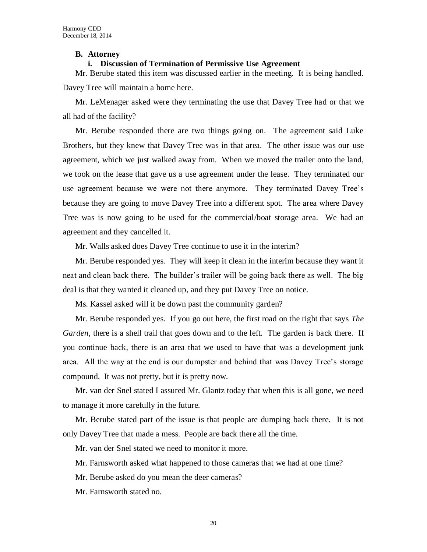#### **B. Attorney**

### **i. Discussion of Termination of Permissive Use Agreement**

Mr. Berube stated this item was discussed earlier in the meeting. It is being handled. Davey Tree will maintain a home here.

Mr. LeMenager asked were they terminating the use that Davey Tree had or that we all had of the facility?

Mr. Berube responded there are two things going on. The agreement said Luke Brothers, but they knew that Davey Tree was in that area. The other issue was our use agreement, which we just walked away from. When we moved the trailer onto the land, we took on the lease that gave us a use agreement under the lease. They terminated our use agreement because we were not there anymore. They terminated Davey Tree's because they are going to move Davey Tree into a different spot. The area where Davey Tree was is now going to be used for the commercial/boat storage area. We had an agreement and they cancelled it.

Mr. Walls asked does Davey Tree continue to use it in the interim?

Mr. Berube responded yes. They will keep it clean in the interim because they want it neat and clean back there. The builder's trailer will be going back there as well. The big deal is that they wanted it cleaned up, and they put Davey Tree on notice.

Ms. Kassel asked will it be down past the community garden?

Mr. Berube responded yes. If you go out here, the first road on the right that says *The Garden*, there is a shell trail that goes down and to the left. The garden is back there. If you continue back, there is an area that we used to have that was a development junk area. All the way at the end is our dumpster and behind that was Davey Tree's storage compound. It was not pretty, but it is pretty now.

Mr. van der Snel stated I assured Mr. Glantz today that when this is all gone, we need to manage it more carefully in the future.

Mr. Berube stated part of the issue is that people are dumping back there. It is not only Davey Tree that made a mess. People are back there all the time.

Mr. van der Snel stated we need to monitor it more.

Mr. Farnsworth asked what happened to those cameras that we had at one time?

Mr. Berube asked do you mean the deer cameras?

Mr. Farnsworth stated no.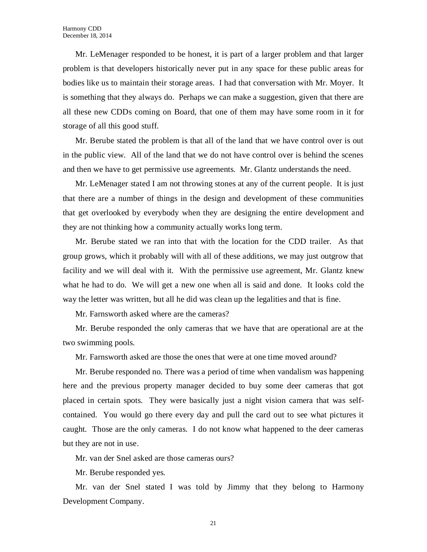Mr. LeMenager responded to be honest, it is part of a larger problem and that larger problem is that developers historically never put in any space for these public areas for bodies like us to maintain their storage areas. I had that conversation with Mr. Moyer. It is something that they always do. Perhaps we can make a suggestion, given that there are all these new CDDs coming on Board, that one of them may have some room in it for storage of all this good stuff.

Mr. Berube stated the problem is that all of the land that we have control over is out in the public view. All of the land that we do not have control over is behind the scenes and then we have to get permissive use agreements. Mr. Glantz understands the need.

Mr. LeMenager stated I am not throwing stones at any of the current people. It is just that there are a number of things in the design and development of these communities that get overlooked by everybody when they are designing the entire development and they are not thinking how a community actually works long term.

Mr. Berube stated we ran into that with the location for the CDD trailer. As that group grows, which it probably will with all of these additions, we may just outgrow that facility and we will deal with it. With the permissive use agreement, Mr. Glantz knew what he had to do. We will get a new one when all is said and done. It looks cold the way the letter was written, but all he did was clean up the legalities and that is fine.

Mr. Farnsworth asked where are the cameras?

Mr. Berube responded the only cameras that we have that are operational are at the two swimming pools.

Mr. Farnsworth asked are those the ones that were at one time moved around?

Mr. Berube responded no. There was a period of time when vandalism was happening here and the previous property manager decided to buy some deer cameras that got placed in certain spots. They were basically just a night vision camera that was selfcontained. You would go there every day and pull the card out to see what pictures it caught. Those are the only cameras. I do not know what happened to the deer cameras but they are not in use.

Mr. van der Snel asked are those cameras ours?

Mr. Berube responded yes.

Mr. van der Snel stated I was told by Jimmy that they belong to Harmony Development Company.

21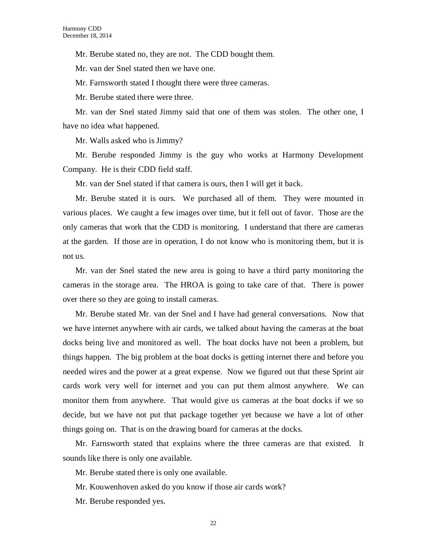Mr. Berube stated no, they are not. The CDD bought them.

Mr. van der Snel stated then we have one.

Mr. Farnsworth stated I thought there were three cameras.

Mr. Berube stated there were three.

Mr. van der Snel stated Jimmy said that one of them was stolen. The other one, I have no idea what happened.

Mr. Walls asked who is Jimmy?

Mr. Berube responded Jimmy is the guy who works at Harmony Development Company. He is their CDD field staff.

Mr. van der Snel stated if that camera is ours, then I will get it back.

Mr. Berube stated it is ours. We purchased all of them. They were mounted in various places. We caught a few images over time, but it fell out of favor. Those are the only cameras that work that the CDD is monitoring. I understand that there are cameras at the garden. If those are in operation, I do not know who is monitoring them, but it is not us.

Mr. van der Snel stated the new area is going to have a third party monitoring the cameras in the storage area. The HROA is going to take care of that. There is power over there so they are going to install cameras.

Mr. Berube stated Mr. van der Snel and I have had general conversations. Now that we have internet anywhere with air cards, we talked about having the cameras at the boat docks being live and monitored as well. The boat docks have not been a problem, but things happen. The big problem at the boat docks is getting internet there and before you needed wires and the power at a great expense. Now we figured out that these Sprint air cards work very well for internet and you can put them almost anywhere. We can monitor them from anywhere. That would give us cameras at the boat docks if we so decide, but we have not put that package together yet because we have a lot of other things going on. That is on the drawing board for cameras at the docks.

Mr. Farnsworth stated that explains where the three cameras are that existed. It sounds like there is only one available.

Mr. Berube stated there is only one available.

Mr. Kouwenhoven asked do you know if those air cards work?

Mr. Berube responded yes.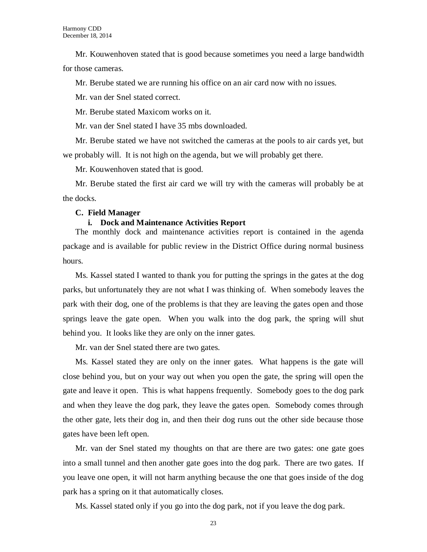Mr. Kouwenhoven stated that is good because sometimes you need a large bandwidth for those cameras.

Mr. Berube stated we are running his office on an air card now with no issues.

Mr. van der Snel stated correct.

Mr. Berube stated Maxicom works on it.

Mr. van der Snel stated I have 35 mbs downloaded.

Mr. Berube stated we have not switched the cameras at the pools to air cards yet, but we probably will. It is not high on the agenda, but we will probably get there.

Mr. Kouwenhoven stated that is good.

Mr. Berube stated the first air card we will try with the cameras will probably be at the docks.

#### **C. Field Manager**

### **i. Dock and Maintenance Activities Report**

The monthly dock and maintenance activities report is contained in the agenda package and is available for public review in the District Office during normal business hours.

Ms. Kassel stated I wanted to thank you for putting the springs in the gates at the dog parks, but unfortunately they are not what I was thinking of. When somebody leaves the park with their dog, one of the problems is that they are leaving the gates open and those springs leave the gate open. When you walk into the dog park, the spring will shut behind you. It looks like they are only on the inner gates.

Mr. van der Snel stated there are two gates.

Ms. Kassel stated they are only on the inner gates. What happens is the gate will close behind you, but on your way out when you open the gate, the spring will open the gate and leave it open. This is what happens frequently. Somebody goes to the dog park and when they leave the dog park, they leave the gates open. Somebody comes through the other gate, lets their dog in, and then their dog runs out the other side because those gates have been left open.

Mr. van der Snel stated my thoughts on that are there are two gates: one gate goes into a small tunnel and then another gate goes into the dog park. There are two gates. If you leave one open, it will not harm anything because the one that goes inside of the dog park has a spring on it that automatically closes.

Ms. Kassel stated only if you go into the dog park, not if you leave the dog park.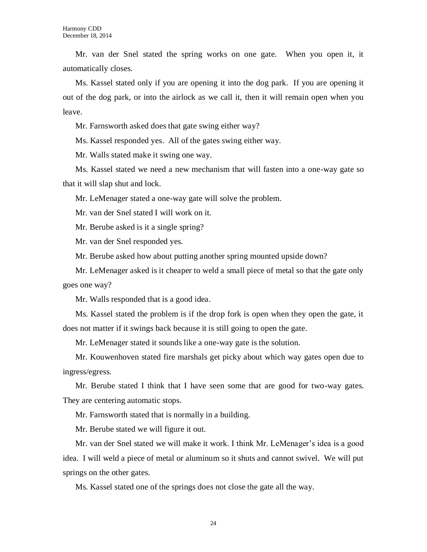Mr. van der Snel stated the spring works on one gate. When you open it, it automatically closes.

Ms. Kassel stated only if you are opening it into the dog park. If you are opening it out of the dog park, or into the airlock as we call it, then it will remain open when you leave.

Mr. Farnsworth asked does that gate swing either way?

Ms. Kassel responded yes. All of the gates swing either way.

Mr. Walls stated make it swing one way.

Ms. Kassel stated we need a new mechanism that will fasten into a one-way gate so that it will slap shut and lock.

Mr. LeMenager stated a one-way gate will solve the problem.

Mr. van der Snel stated I will work on it.

Mr. Berube asked is it a single spring?

Mr. van der Snel responded yes.

Mr. Berube asked how about putting another spring mounted upside down?

Mr. LeMenager asked is it cheaper to weld a small piece of metal so that the gate only goes one way?

Mr. Walls responded that is a good idea.

Ms. Kassel stated the problem is if the drop fork is open when they open the gate, it does not matter if it swings back because it is still going to open the gate.

Mr. LeMenager stated it sounds like a one-way gate is the solution.

Mr. Kouwenhoven stated fire marshals get picky about which way gates open due to ingress/egress.

Mr. Berube stated I think that I have seen some that are good for two-way gates. They are centering automatic stops.

Mr. Farnsworth stated that is normally in a building.

Mr. Berube stated we will figure it out.

Mr. van der Snel stated we will make it work. I think Mr. LeMenager's idea is a good idea. I will weld a piece of metal or aluminum so it shuts and cannot swivel. We will put springs on the other gates.

Ms. Kassel stated one of the springs does not close the gate all the way.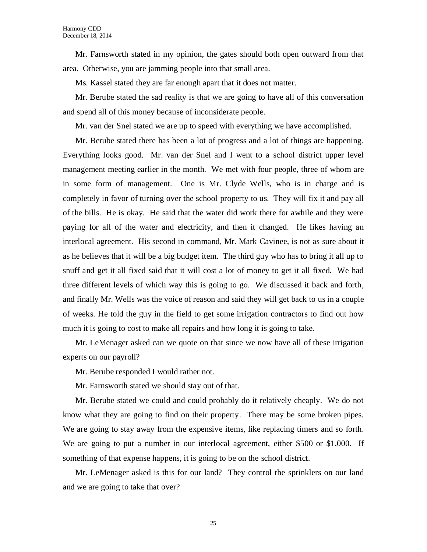Mr. Farnsworth stated in my opinion, the gates should both open outward from that area. Otherwise, you are jamming people into that small area.

Ms. Kassel stated they are far enough apart that it does not matter.

Mr. Berube stated the sad reality is that we are going to have all of this conversation and spend all of this money because of inconsiderate people.

Mr. van der Snel stated we are up to speed with everything we have accomplished.

Mr. Berube stated there has been a lot of progress and a lot of things are happening. Everything looks good. Mr. van der Snel and I went to a school district upper level management meeting earlier in the month. We met with four people, three of whom are in some form of management. One is Mr. Clyde Wells, who is in charge and is completely in favor of turning over the school property to us. They will fix it and pay all of the bills. He is okay. He said that the water did work there for awhile and they were paying for all of the water and electricity, and then it changed. He likes having an interlocal agreement. His second in command, Mr. Mark Cavinee, is not as sure about it as he believes that it will be a big budget item. The third guy who has to bring it all up to snuff and get it all fixed said that it will cost a lot of money to get it all fixed. We had three different levels of which way this is going to go. We discussed it back and forth, and finally Mr. Wells was the voice of reason and said they will get back to us in a couple of weeks. He told the guy in the field to get some irrigation contractors to find out how much it is going to cost to make all repairs and how long it is going to take.

Mr. LeMenager asked can we quote on that since we now have all of these irrigation experts on our payroll?

Mr. Berube responded I would rather not.

Mr. Farnsworth stated we should stay out of that.

Mr. Berube stated we could and could probably do it relatively cheaply. We do not know what they are going to find on their property. There may be some broken pipes. We are going to stay away from the expensive items, like replacing timers and so forth. We are going to put a number in our interlocal agreement, either \$500 or \$1,000. If something of that expense happens, it is going to be on the school district.

Mr. LeMenager asked is this for our land? They control the sprinklers on our land and we are going to take that over?

25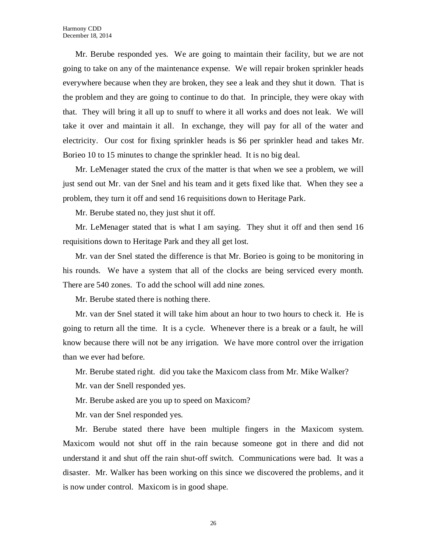Mr. Berube responded yes. We are going to maintain their facility, but we are not going to take on any of the maintenance expense. We will repair broken sprinkler heads everywhere because when they are broken, they see a leak and they shut it down. That is the problem and they are going to continue to do that. In principle, they were okay with that. They will bring it all up to snuff to where it all works and does not leak. We will take it over and maintain it all. In exchange, they will pay for all of the water and electricity. Our cost for fixing sprinkler heads is \$6 per sprinkler head and takes Mr. Borieo 10 to 15 minutes to change the sprinkler head. It is no big deal.

Mr. LeMenager stated the crux of the matter is that when we see a problem, we will just send out Mr. van der Snel and his team and it gets fixed like that. When they see a problem, they turn it off and send 16 requisitions down to Heritage Park.

Mr. Berube stated no, they just shut it off.

Mr. LeMenager stated that is what I am saying. They shut it off and then send 16 requisitions down to Heritage Park and they all get lost.

Mr. van der Snel stated the difference is that Mr. Borieo is going to be monitoring in his rounds. We have a system that all of the clocks are being serviced every month. There are 540 zones. To add the school will add nine zones.

Mr. Berube stated there is nothing there.

Mr. van der Snel stated it will take him about an hour to two hours to check it. He is going to return all the time. It is a cycle. Whenever there is a break or a fault, he will know because there will not be any irrigation. We have more control over the irrigation than we ever had before.

Mr. Berube stated right. did you take the Maxicom class from Mr. Mike Walker?

Mr. van der Snell responded yes.

Mr. Berube asked are you up to speed on Maxicom?

Mr. van der Snel responded yes.

Mr. Berube stated there have been multiple fingers in the Maxicom system. Maxicom would not shut off in the rain because someone got in there and did not understand it and shut off the rain shut-off switch. Communications were bad. It was a disaster. Mr. Walker has been working on this since we discovered the problems, and it is now under control. Maxicom is in good shape.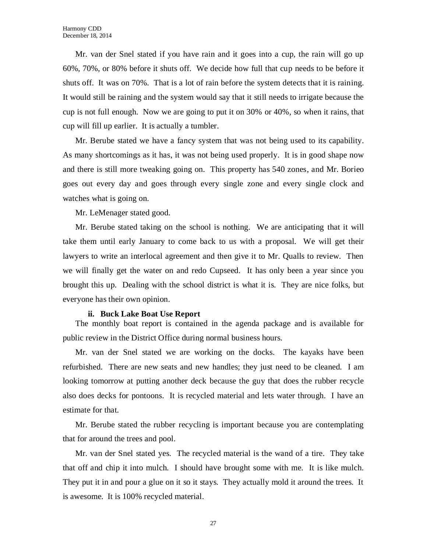Mr. van der Snel stated if you have rain and it goes into a cup, the rain will go up 60%, 70%, or 80% before it shuts off. We decide how full that cup needs to be before it shuts off. It was on 70%. That is a lot of rain before the system detects that it is raining. It would still be raining and the system would say that it still needs to irrigate because the cup is not full enough. Now we are going to put it on 30% or 40%, so when it rains, that cup will fill up earlier. It is actually a tumbler.

Mr. Berube stated we have a fancy system that was not being used to its capability. As many shortcomings as it has, it was not being used properly. It is in good shape now and there is still more tweaking going on. This property has 540 zones, and Mr. Borieo goes out every day and goes through every single zone and every single clock and watches what is going on.

Mr. LeMenager stated good.

Mr. Berube stated taking on the school is nothing. We are anticipating that it will take them until early January to come back to us with a proposal. We will get their lawyers to write an interlocal agreement and then give it to Mr. Qualls to review. Then we will finally get the water on and redo Cupseed. It has only been a year since you brought this up. Dealing with the school district is what it is. They are nice folks, but everyone has their own opinion.

#### **ii. Buck Lake Boat Use Report**

The monthly boat report is contained in the agenda package and is available for public review in the District Office during normal business hours.

Mr. van der Snel stated we are working on the docks. The kayaks have been refurbished. There are new seats and new handles; they just need to be cleaned. I am looking tomorrow at putting another deck because the guy that does the rubber recycle also does decks for pontoons. It is recycled material and lets water through. I have an estimate for that.

Mr. Berube stated the rubber recycling is important because you are contemplating that for around the trees and pool.

Mr. van der Snel stated yes. The recycled material is the wand of a tire. They take that off and chip it into mulch. I should have brought some with me. It is like mulch. They put it in and pour a glue on it so it stays. They actually mold it around the trees. It is awesome. It is 100% recycled material.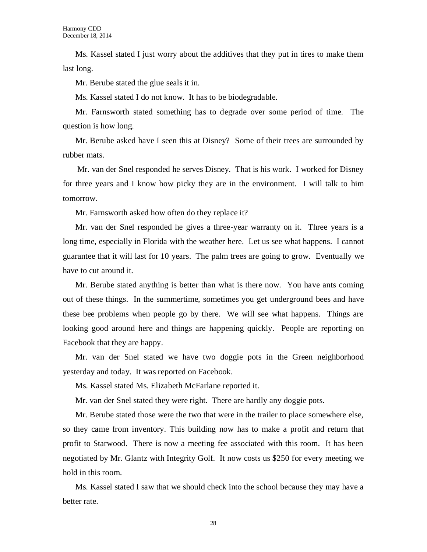Ms. Kassel stated I just worry about the additives that they put in tires to make them last long.

Mr. Berube stated the glue seals it in.

Ms. Kassel stated I do not know. It has to be biodegradable.

Mr. Farnsworth stated something has to degrade over some period of time. The question is how long.

Mr. Berube asked have I seen this at Disney? Some of their trees are surrounded by rubber mats.

Mr. van der Snel responded he serves Disney. That is his work. I worked for Disney for three years and I know how picky they are in the environment. I will talk to him tomorrow.

Mr. Farnsworth asked how often do they replace it?

Mr. van der Snel responded he gives a three-year warranty on it. Three years is a long time, especially in Florida with the weather here. Let us see what happens. I cannot guarantee that it will last for 10 years. The palm trees are going to grow. Eventually we have to cut around it.

Mr. Berube stated anything is better than what is there now. You have ants coming out of these things. In the summertime, sometimes you get underground bees and have these bee problems when people go by there. We will see what happens. Things are looking good around here and things are happening quickly. People are reporting on Facebook that they are happy.

Mr. van der Snel stated we have two doggie pots in the Green neighborhood yesterday and today. It was reported on Facebook.

Ms. Kassel stated Ms. Elizabeth McFarlane reported it.

Mr. van der Snel stated they were right. There are hardly any doggie pots.

Mr. Berube stated those were the two that were in the trailer to place somewhere else, so they came from inventory. This building now has to make a profit and return that profit to Starwood. There is now a meeting fee associated with this room. It has been negotiated by Mr. Glantz with Integrity Golf. It now costs us \$250 for every meeting we hold in this room.

Ms. Kassel stated I saw that we should check into the school because they may have a better rate.

28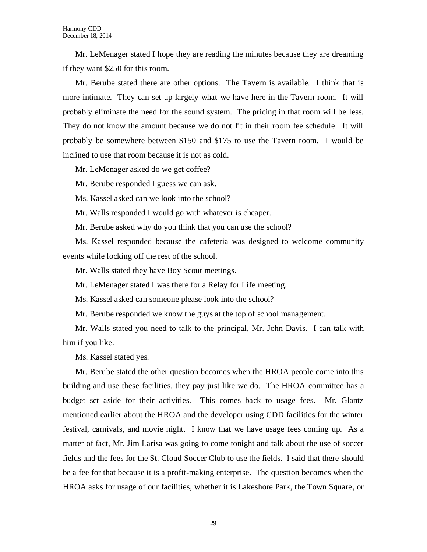Mr. LeMenager stated I hope they are reading the minutes because they are dreaming if they want \$250 for this room.

Mr. Berube stated there are other options. The Tavern is available. I think that is more intimate. They can set up largely what we have here in the Tavern room. It will probably eliminate the need for the sound system. The pricing in that room will be less. They do not know the amount because we do not fit in their room fee schedule. It will probably be somewhere between \$150 and \$175 to use the Tavern room. I would be inclined to use that room because it is not as cold.

Mr. LeMenager asked do we get coffee?

Mr. Berube responded I guess we can ask.

Ms. Kassel asked can we look into the school?

Mr. Walls responded I would go with whatever is cheaper.

Mr. Berube asked why do you think that you can use the school?

Ms. Kassel responded because the cafeteria was designed to welcome community events while locking off the rest of the school.

Mr. Walls stated they have Boy Scout meetings.

Mr. LeMenager stated I was there for a Relay for Life meeting.

Ms. Kassel asked can someone please look into the school?

Mr. Berube responded we know the guys at the top of school management.

Mr. Walls stated you need to talk to the principal, Mr. John Davis. I can talk with him if you like.

Ms. Kassel stated yes.

Mr. Berube stated the other question becomes when the HROA people come into this building and use these facilities, they pay just like we do. The HROA committee has a budget set aside for their activities. This comes back to usage fees. Mr. Glantz mentioned earlier about the HROA and the developer using CDD facilities for the winter festival, carnivals, and movie night. I know that we have usage fees coming up. As a matter of fact, Mr. Jim Larisa was going to come tonight and talk about the use of soccer fields and the fees for the St. Cloud Soccer Club to use the fields. I said that there should be a fee for that because it is a profit-making enterprise. The question becomes when the HROA asks for usage of our facilities, whether it is Lakeshore Park, the Town Square, or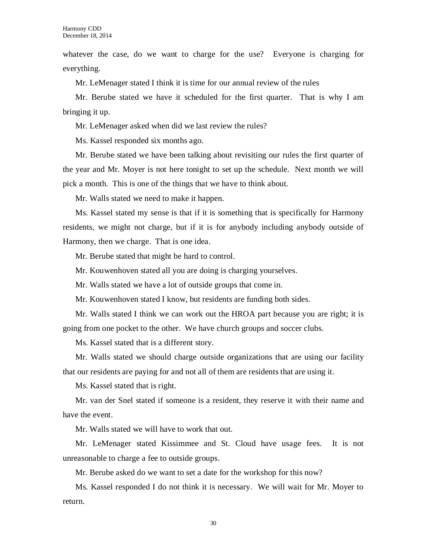whatever the case, do we want to charge for the use? Everyone is charging for everything.

Mr. LeMenager stated I think it is time for our annual review of the rules

Mr. Berube stated we have it scheduled for the first quarter. That is why I am bringing it up.

Mr. LeMenager asked when did we last review the rules?

Ms. Kassel responded six months ago.

Mr. Berube stated we have been talking about revisiting our rules the first quarter of the year and Mr. Moyer is not here tonight to set up the schedule. Next month we will pick a month. This is one of the things that we have to think about.

Mr. Walls stated we need to make it happen.

Ms. Kassel stated my sense is that if it is something that is specifically for Harmony residents, we might not charge, but if it is for anybody including anybody outside of Harmony, then we charge. That is one idea.

Mr. Berube stated that might be hard to control.

Mr. Kouwenhoven stated all you are doing is charging yourselves.

Mr. Walls stated we have a lot of outside groups that come in.

Mr. Kouwenhoven stated I know, but residents are funding both sides.

Mr. Walls stated I think we can work out the HROA part because you are right; it is going from one pocket to the other. We have church groups and soccer clubs.

Ms. Kassel stated that is a different story.

Mr. Walls stated we should charge outside organizations that are using our facility that our residents are paying for and not all of them are residents that are using it.

Ms. Kassel stated that is right.

Mr. van der Snel stated if someone is a resident, they reserve it with their name and have the event.

Mr. Walls stated we will have to work that out.

Mr. LeMenager stated Kissimmee and St. Cloud have usage fees. It is not unreasonable to charge a fee to outside groups.

Mr. Berube asked do we want to set a date for the workshop for this now?

Ms. Kassel responded I do not think it is necessary. We will wait for Mr. Moyer to return.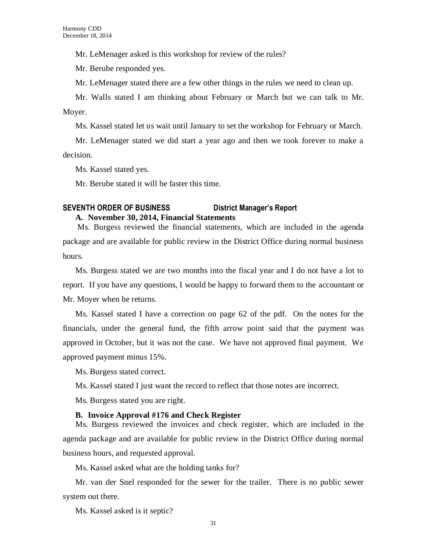Mr. LeMenager asked is this workshop for review of the rules?

Mr. Berube responded yes.

Mr. LeMenager stated there are a few other things in the rules we need to clean up.

Mr. Walls stated I am thinking about February or March but we can talk to Mr. Moyer.

Ms. Kassel stated let us wait until January to set the workshop for February or March.

Mr. LeMenager stated we did start a year ago and then we took forever to make a decision.

Ms. Kassel stated yes.

Mr. Berube stated it will be faster this time.

## **SEVENTH ORDER OF BUSINESS District Manager's Report A. November 30, 2014, Financial Statements**

Ms. Burgess reviewed the financial statements, which are included in the agenda package and are available for public review in the District Office during normal business hours.

Ms. Burgess stated we are two months into the fiscal year and I do not have a lot to report. If you have any questions, I would be happy to forward them to the accountant or Mr. Moyer when he returns.

Ms. Kassel stated I have a correction on page 62 of the pdf. On the notes for the financials, under the general fund, the fifth arrow point said that the payment was approved in October, but it was not the case. We have not approved final payment. We approved payment minus 15%.

Ms. Burgess stated correct.

Ms. Kassel stated I just want the record to reflect that those notes are incorrect.

Ms. Burgess stated you are right.

#### **B. Invoice Approval #176 and Check Register**

Ms. Burgess reviewed the invoices and check register, which are included in the agenda package and are available for public review in the District Office during normal business hours, and requested approval.

Ms. Kassel asked what are the holding tanks for?

Mr. van der Snel responded for the sewer for the trailer. There is no public sewer system out there.

Ms. Kassel asked is it septic?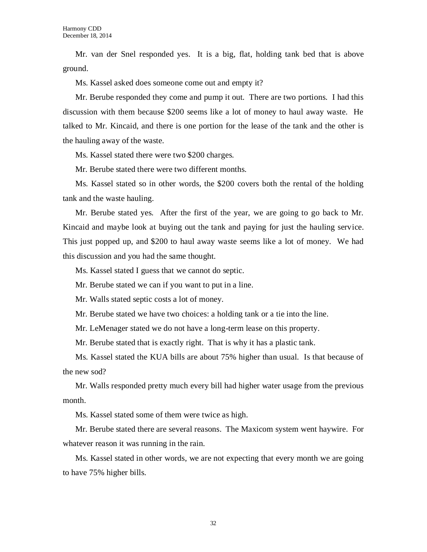Mr. van der Snel responded yes. It is a big, flat, holding tank bed that is above ground.

Ms. Kassel asked does someone come out and empty it?

Mr. Berube responded they come and pump it out. There are two portions. I had this discussion with them because \$200 seems like a lot of money to haul away waste. He talked to Mr. Kincaid, and there is one portion for the lease of the tank and the other is the hauling away of the waste.

Ms. Kassel stated there were two \$200 charges.

Mr. Berube stated there were two different months.

Ms. Kassel stated so in other words, the \$200 covers both the rental of the holding tank and the waste hauling.

Mr. Berube stated yes. After the first of the year, we are going to go back to Mr. Kincaid and maybe look at buying out the tank and paying for just the hauling service. This just popped up, and \$200 to haul away waste seems like a lot of money. We had this discussion and you had the same thought.

Ms. Kassel stated I guess that we cannot do septic.

Mr. Berube stated we can if you want to put in a line.

Mr. Walls stated septic costs a lot of money.

Mr. Berube stated we have two choices: a holding tank or a tie into the line.

Mr. LeMenager stated we do not have a long-term lease on this property.

Mr. Berube stated that is exactly right. That is why it has a plastic tank.

Ms. Kassel stated the KUA bills are about 75% higher than usual. Is that because of the new sod?

Mr. Walls responded pretty much every bill had higher water usage from the previous month.

Ms. Kassel stated some of them were twice as high.

Mr. Berube stated there are several reasons. The Maxicom system went haywire. For whatever reason it was running in the rain.

Ms. Kassel stated in other words, we are not expecting that every month we are going to have 75% higher bills.

32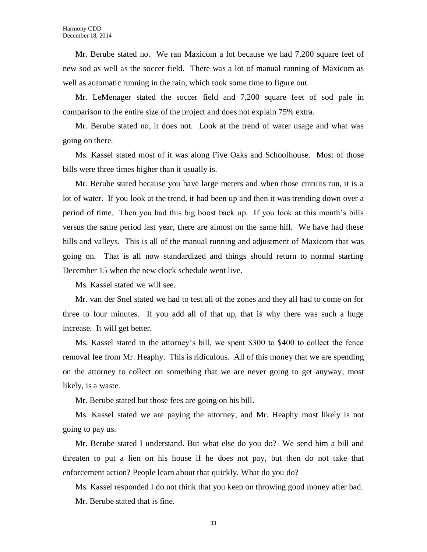Mr. Berube stated no. We ran Maxicom a lot because we had 7,200 square feet of new sod as well as the soccer field. There was a lot of manual running of Maxicom as well as automatic running in the rain, which took some time to figure out.

Mr. LeMenager stated the soccer field and 7,200 square feet of sod pale in comparison to the entire size of the project and does not explain 75% extra.

Mr. Berube stated no, it does not. Look at the trend of water usage and what was going on there.

Ms. Kassel stated most of it was along Five Oaks and Schoolhouse. Most of those bills were three times higher than it usually is.

Mr. Berube stated because you have large meters and when those circuits run, it is a lot of water. If you look at the trend, it had been up and then it was trending down over a period of time. Then you had this big boost back up. If you look at this month's bills versus the same period last year, there are almost on the same hill. We have had these hills and valleys. This is all of the manual running and adjustment of Maxicom that was going on. That is all now standardized and things should return to normal starting December 15 when the new clock schedule went live.

Ms. Kassel stated we will see.

Mr. van der Snel stated we had to test all of the zones and they all had to come on for three to four minutes. If you add all of that up, that is why there was such a huge increase. It will get better.

Ms. Kassel stated in the attorney's bill, we spent \$300 to \$400 to collect the fence removal fee from Mr. Heaphy. This is ridiculous. All of this money that we are spending on the attorney to collect on something that we are never going to get anyway, most likely, is a waste.

Mr. Berube stated but those fees are going on his bill.

Ms. Kassel stated we are paying the attorney, and Mr. Heaphy most likely is not going to pay us.

Mr. Berube stated I understand. But what else do you do? We send him a bill and threaten to put a lien on his house if he does not pay, but then do not take that enforcement action? People learn about that quickly. What do you do?

Ms. Kassel responded I do not think that you keep on throwing good money after bad. Mr. Berube stated that is fine.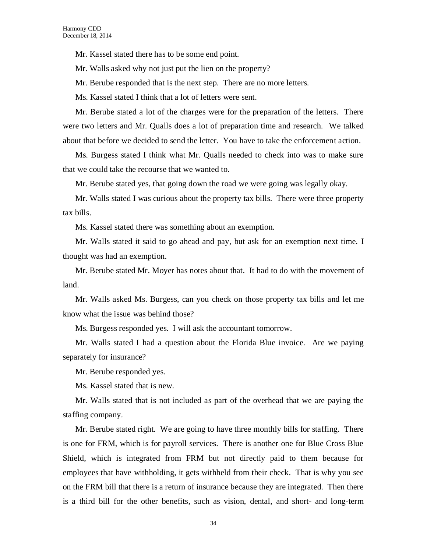Mr. Kassel stated there has to be some end point.

Mr. Walls asked why not just put the lien on the property?

Mr. Berube responded that is the next step. There are no more letters.

Ms. Kassel stated I think that a lot of letters were sent.

Mr. Berube stated a lot of the charges were for the preparation of the letters. There were two letters and Mr. Qualls does a lot of preparation time and research. We talked about that before we decided to send the letter. You have to take the enforcement action.

Ms. Burgess stated I think what Mr. Qualls needed to check into was to make sure that we could take the recourse that we wanted to.

Mr. Berube stated yes, that going down the road we were going was legally okay.

Mr. Walls stated I was curious about the property tax bills. There were three property tax bills.

Ms. Kassel stated there was something about an exemption.

Mr. Walls stated it said to go ahead and pay, but ask for an exemption next time. I thought was had an exemption.

Mr. Berube stated Mr. Moyer has notes about that. It had to do with the movement of land.

Mr. Walls asked Ms. Burgess, can you check on those property tax bills and let me know what the issue was behind those?

Ms. Burgess responded yes. I will ask the accountant tomorrow.

Mr. Walls stated I had a question about the Florida Blue invoice. Are we paying separately for insurance?

Mr. Berube responded yes.

Ms. Kassel stated that is new.

Mr. Walls stated that is not included as part of the overhead that we are paying the staffing company.

Mr. Berube stated right. We are going to have three monthly bills for staffing. There is one for FRM, which is for payroll services. There is another one for Blue Cross Blue Shield, which is integrated from FRM but not directly paid to them because for employees that have withholding, it gets withheld from their check. That is why you see on the FRM bill that there is a return of insurance because they are integrated. Then there is a third bill for the other benefits, such as vision, dental, and short- and long-term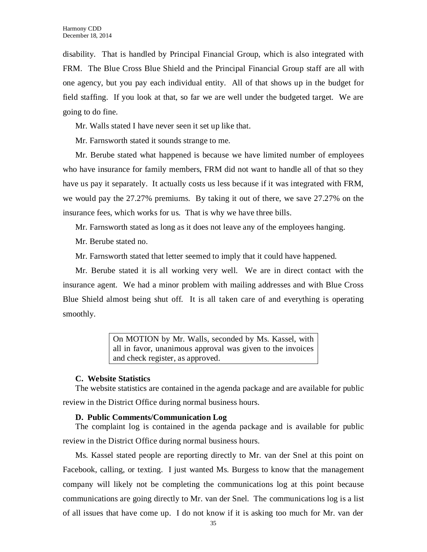disability. That is handled by Principal Financial Group, which is also integrated with FRM. The Blue Cross Blue Shield and the Principal Financial Group staff are all with one agency, but you pay each individual entity. All of that shows up in the budget for field staffing. If you look at that, so far we are well under the budgeted target. We are going to do fine.

Mr. Walls stated I have never seen it set up like that.

Mr. Farnsworth stated it sounds strange to me.

Mr. Berube stated what happened is because we have limited number of employees who have insurance for family members, FRM did not want to handle all of that so they have us pay it separately. It actually costs us less because if it was integrated with FRM, we would pay the 27.27% premiums. By taking it out of there, we save 27.27% on the insurance fees, which works for us. That is why we have three bills.

Mr. Farnsworth stated as long as it does not leave any of the employees hanging.

Mr. Berube stated no.

Mr. Farnsworth stated that letter seemed to imply that it could have happened.

Mr. Berube stated it is all working very well. We are in direct contact with the insurance agent. We had a minor problem with mailing addresses and with Blue Cross Blue Shield almost being shut off. It is all taken care of and everything is operating smoothly.

> On MOTION by Mr. Walls, seconded by Ms. Kassel, with all in favor, unanimous approval was given to the invoices and check register, as approved.

#### **C. Website Statistics**

The website statistics are contained in the agenda package and are available for public review in the District Office during normal business hours.

#### **D. Public Comments/Communication Log**

The complaint log is contained in the agenda package and is available for public review in the District Office during normal business hours.

Ms. Kassel stated people are reporting directly to Mr. van der Snel at this point on Facebook, calling, or texting. I just wanted Ms. Burgess to know that the management company will likely not be completing the communications log at this point because communications are going directly to Mr. van der Snel. The communications log is a list of all issues that have come up. I do not know if it is asking too much for Mr. van der